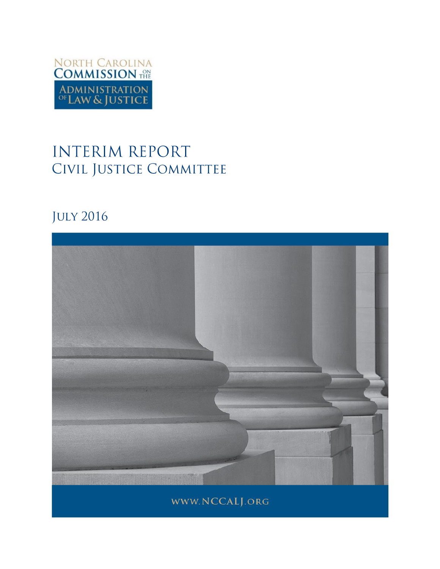

# **INTERIM REPORT** CIVIL JUSTICE COMMITTEE

## **JULY 2016**

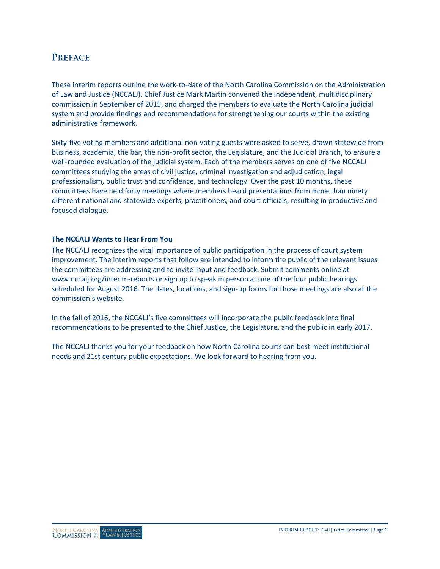### **PREFACE**

These interim reports outline the work-to-date of the North Carolina Commission on the Administration of Law and Justice (NCCALJ). Chief Justice Mark Martin convened the independent, multidisciplinary commission in September of 2015, and charged the members to evaluate the North Carolina judicial system and provide findings and recommendations for strengthening our courts within the existing administrative framework.

Sixty-five voting members and additional non-voting guests were asked to serve, drawn statewide from business, academia, the bar, the non-profit sector, the Legislature, and the Judicial Branch, to ensure a well-rounded evaluation of the judicial system. Each of the members serves on one of five NCCALJ committees studying the areas of civil justice, criminal investigation and adjudication, legal professionalism, public trust and confidence, and technology. Over the past 10 months, these committees have held forty meetings where members heard presentations from more than ninety different national and statewide experts, practitioners, and court officials, resulting in productive and focused dialogue.

### **The NCCALJ Wants to Hear From You**

The NCCALJ recognizes the vital importance of public participation in the process of court system improvement. The interim reports that follow are intended to inform the public of the relevant issues the committees are addressing and to invite input and feedback. Submit comments online at [www.nccalj.org/interim-reports](file://wfs01.aoc.nccourts.org/Network_Folders/UNIT_Communications/Courts/Session%20Comms/Commission%20on%20the%20Administration%20of%20Law%20and%20Justice/Reports/www.nccalj.org/interim-reports) or sign up to speak in person at one of the four public hearings scheduled for August 2016. The dates, locations, and sign-up forms for those meetings are also at the commission's website.

In the fall of 2016, the NCCALJ's five committees will incorporate the public feedback into final recommendations to be presented to the Chief Justice, the Legislature, and the public in early 2017.

The NCCALJ thanks you for your feedback on how North Carolina courts can best meet institutional needs and 21st century public expectations. We look forward to hearing from you.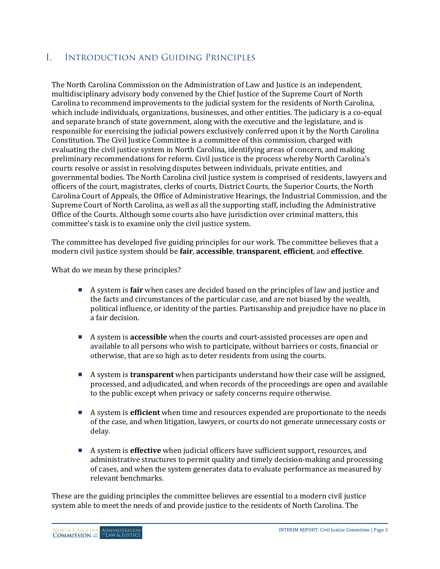#### $\mathbf{I}$ INTRODUCTION AND GUIDING PRINCIPLES

The North Carolina Commission on the Administration of Law and Justice is an independent, multidisciplinary advisory body convened by the Chief Justice of the Supreme Court of North Carolina to recommend improvements to the judicial system for the residents of North Carolina, which include individuals, organizations, businesses, and other entities. The judiciary is a co-equal and separate branch of state government, along with the executive and the legislature, and is responsible for exercising the judicial powers exclusively conferred upon it by the North Carolina Constitution. The Civil Justice Committee is a committee of this commission, charged with evaluating the civil justice system in North Carolina, identifying areas of concern, and making preliminary recommendations for reform. Civil justice is the process whereby North Carolina's courts resolve or assist in resolving disputes between individuals, private entities, and governmental bodies. The North Carolina civil justice system is comprised of residents, lawyers and officers of the court, magistrates, clerks of courts, District Courts, the Superior Courts, the North Carolina Court of Appeals, the Office of Administrative Hearings, the Industrial Commission, and the Supreme Court of North Carolina, as well as all the supporting staff, including the Administrative Office of the Courts. Although some courts also have jurisdiction over criminal matters, this committee's task is to examine only the civil justice system.

The committee has developed five guiding principles for our work. The committee believes that a modern civil justice system should be **fair**, **accessible**, **transparent**, **efficient**, and **effective**.

What do we mean by these principles?

- A system is **fair** when cases are decided based on the principles of law and justice and the facts and circumstances of the particular case, and are not biased by the wealth, political influence, or identity of the parties. Partisanship and prejudice have no place in a fair decision.
- A system is **accessible** when the courts and court-assisted processes are open and available to all persons who wish to participate, without barriers or costs, financial or otherwise, that are so high as to deter residents from using the courts.
- A system is **transparent** when participants understand how their case will be assigned, processed, and adjudicated, and when records of the proceedings are open and available to the public except when privacy or safety concerns require otherwise.
- A system is **efficient** when time and resources expended are proportionate to the needs of the case, and when litigation, lawyers, or courts do not generate unnecessary costs or delay.
- A system is **effective** when judicial officers have sufficient support, resources, and administrative structures to permit quality and timely decision-making and processing of cases, and when the system generates data to evaluate performance as measured by relevant benchmarks.

These are the guiding principles the committee believes are essential to a modern civil justice system able to meet the needs of and provide justice to the residents of North Carolina. The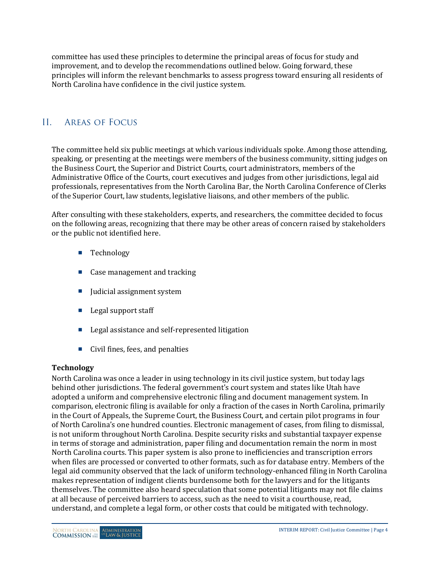committee has used these principles to determine the principal areas of focus for study and improvement, and to develop the recommendations outlined below. Going forward, these principles will inform the relevant benchmarks to assess progress toward ensuring all residents of North Carolina have confidence in the civil justice system.

#### $\prod$ **AREAS OF FOCUS**

The committee held six public meetings at which various individuals spoke. Among those attending, speaking, or presenting at the meetings were members of the business community, sitting judges on the Business Court, the Superior and District Courts, court administrators, members of the Administrative Office of the Courts, court executives and judges from other jurisdictions, legal aid professionals, representatives from the North Carolina Bar, the North Carolina Conference of Clerks of the Superior Court, law students, legislative liaisons, and other members of the public.

After consulting with these stakeholders, experts, and researchers, the committee decided to focus on the following areas, recognizing that there may be other areas of concern raised by stakeholders or the public not identified here.

- **Technology**
- Case management and tracking
- Judicial assignment system
- $\blacksquare$  Legal support staff
- Legal assistance and self-represented litigation
- Civil fines, fees, and penalties

### **Technology**

North Carolina was once a leader in using technology in its civil justice system, but today lags behind other jurisdictions. The federal government's court system and states like Utah have adopted a uniform and comprehensive electronic filing and document management system. In comparison, electronic filing is available for only a fraction of the cases in North Carolina, primarily in the Court of Appeals, the Supreme Court, the Business Court, and certain pilot programs in four of North Carolina's one hundred counties. Electronic management of cases, from filing to dismissal, is not uniform throughout North Carolina. Despite security risks and substantial taxpayer expense in terms of storage and administration, paper filing and documentation remain the norm in most North Carolina courts. This paper system is also prone to inefficiencies and transcription errors when files are processed or converted to other formats, such as for database entry. Members of the legal aid community observed that the lack of uniform technology-enhanced filing in North Carolina makes representation of indigent clients burdensome both for the lawyers and for the litigants themselves. The committee also heard speculation that some potential litigants may not file claims at all because of perceived barriers to access, such as the need to visit a courthouse, read, understand, and complete a legal form, or other costs that could be mitigated with technology.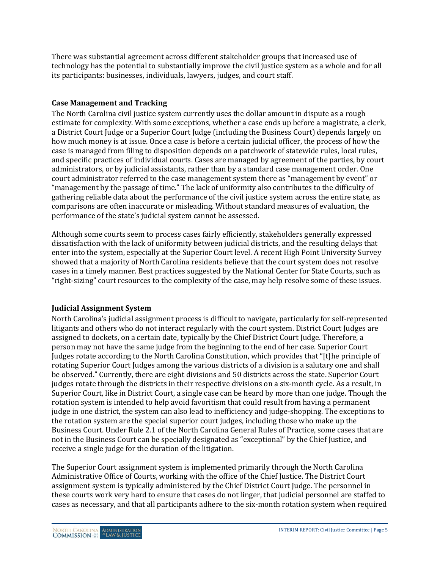There was substantial agreement across different stakeholder groups that increased use of technology has the potential to substantially improve the civil justice system as a whole and for all its participants: businesses, individuals, lawyers, judges, and court staff.

### **Case Management and Tracking**

The North Carolina civil justice system currently uses the dollar amount in dispute as a rough estimate for complexity. With some exceptions, whether a case ends up before a magistrate, a clerk, a District Court Judge or a Superior Court Judge (including the Business Court) depends largely on how much money is at issue. Once a case is before a certain judicial officer, the process of how the case is managed from filing to disposition depends on a patchwork of statewide rules, local rules, and specific practices of individual courts. Cases are managed by agreement of the parties, by court administrators, or by judicial assistants, rather than by a standard case management order. One court administrator referred to the case management system there as "management by event" or "management by the passage of time." The lack of uniformity also contributes to the difficulty of gathering reliable data about the performance of the civil justice system across the entire state, as comparisons are often inaccurate or misleading. Without standard measures of evaluation, the performance of the state's judicial system cannot be assessed.

Although some courts seem to process cases fairly efficiently, stakeholders generally expressed dissatisfaction with the lack of uniformity between judicial districts, and the resulting delays that enter into the system, especially at the Superior Court level. A recent High Point University Survey showed that a majority of North Carolina residents believe that the court system does not resolve cases in a timely manner. Best practices suggested by the National Center for State Courts, such as "right-sizing" court resources to the complexity of the case, may help resolve some of these issues.

### **Judicial Assignment System**

North Carolina's judicial assignment process is difficult to navigate, particularly for self-represented litigants and others who do not interact regularly with the court system. District Court Judges are assigned to dockets, on a certain date, typically by the Chief District Court Judge. Therefore, a person may not have the same judge from the beginning to the end of her case. Superior Court Judges rotate according to the North Carolina Constitution, which provides that "[t]he principle of rotating Superior Court Judges among the various districts of a division is a salutary one and shall be observed." Currently, there are eight divisions and 50 districts across the state. Superior Court judges rotate through the districts in their respective divisions on a six-month cycle. As a result, in Superior Court, like in District Court, a single case can be heard by more than one judge. Though the rotation system is intended to help avoid favoritism that could result from having a permanent judge in one district, the system can also lead to inefficiency and judge-shopping. The exceptions to the rotation system are the special superior court judges, including those who make up the Business Court. Under Rule 2.1 of the North Carolina General Rules of Practice, some cases that are not in the Business Court can be specially designated as "exceptional" by the Chief Justice, and receive a single judge for the duration of the litigation.

The Superior Court assignment system is implemented primarily through the North Carolina Administrative Office of Courts, working with the office of the Chief Justice. The District Court assignment system is typically administered by the Chief District Court Judge. The personnel in these courts work very hard to ensure that cases do not linger, that judicial personnel are staffed to cases as necessary, and that all participants adhere to the six-month rotation system when required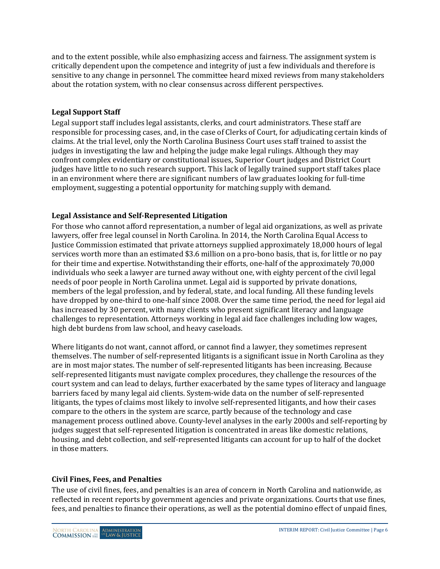and to the extent possible, while also emphasizing access and fairness. The assignment system is critically dependent upon the competence and integrity of just a few individuals and therefore is sensitive to any change in personnel. The committee heard mixed reviews from many stakeholders about the rotation system, with no clear consensus across different perspectives.

### **Legal Support Staff**

Legal support staff includes legal assistants, clerks, and court administrators. These staff are responsible for processing cases, and, in the case of Clerks of Court, for adjudicating certain kinds of claims. At the trial level, only the North Carolina Business Court uses staff trained to assist the judges in investigating the law and helping the judge make legal rulings. Although they may confront complex evidentiary or constitutional issues, Superior Court judges and District Court judges have little to no such research support. This lack of legally trained support staff takes place in an environment where there are significant numbers of law graduates looking for full-time employment, suggesting a potential opportunity for matching supply with demand.

### **Legal Assistance and Self-Represented Litigation**

For those who cannot afford representation, a number of legal aid organizations, as well as private lawyers, offer free legal counsel in North Carolina. In 2014, the North Carolina Equal Access to Justice Commission estimated that private attorneys supplied approximately 18,000 hours of legal services worth more than an estimated \$3.6 million on a pro-bono basis, that is, for little or no pay for their time and expertise. Notwithstanding their efforts, one-half of the approximately 70,000 individuals who seek a lawyer are turned away without one, with eighty percent of the civil legal needs of poor people in North Carolina unmet. Legal aid is supported by private donations, members of the legal profession, and by federal, state, and local funding. All these funding levels have dropped by one-third to one-half since 2008. Over the same time period, the need for legal aid has increased by 30 percent, with many clients who present significant literacy and language challenges to representation. Attorneys working in legal aid face challenges including low wages, high debt burdens from law school, and heavy caseloads.

Where litigants do not want, cannot afford, or cannot find a lawyer, they sometimes represent themselves. The number of self-represented litigants is a significant issue in North Carolina as they are in most major states. The number of self-represented litigants has been increasing. Because self-represented litigants must navigate complex procedures, they challenge the resources of the court system and can lead to delays, further exacerbated by the same types of literacy and language barriers faced by many legal aid clients. System-wide data on the number of self-represented litigants, the types of claims most likely to involve self-represented litigants, and how their cases compare to the others in the system are scarce, partly because of the technology and case management process outlined above. County-level analyses in the early 2000s and self-reporting by judges suggest that self-represented litigation is concentrated in areas like domestic relations, housing, and debt collection, and self-represented litigants can account for up to half of the docket in those matters.

### **Civil Fines, Fees, and Penalties**

The use of civil fines, fees, and penalties is an area of concern in North Carolina and nationwide, as reflected in recent reports by government agencies and private organizations. Courts that use fines, fees, and penalties to finance their operations, as well as the potential domino effect of unpaid fines,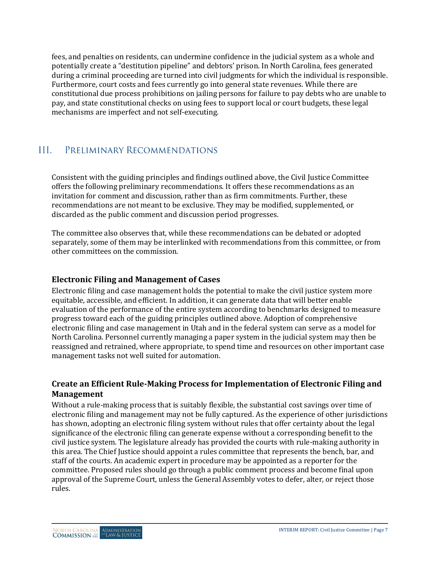fees, and penalties on residents, can undermine confidence in the judicial system as a whole and potentially create a "destitution pipeline" and debtors' prison. In North Carolina, fees generated during a criminal proceeding are turned into civil judgments for which the individual is responsible. Furthermore, court costs and fees currently go into general state revenues. While there are constitutional due process prohibitions on jailing persons for failure to pay debts who are unable to pay, and state constitutional checks on using fees to support local or court budgets, these legal mechanisms are imperfect and not self-executing.

#### $III.$ PRELIMINARY RECOMMENDATIONS

Consistent with the guiding principles and findings outlined above, the Civil Justice Committee offers the following preliminary recommendations. It offers these recommendations as an invitation for comment and discussion, rather than as firm commitments. Further, these recommendations are not meant to be exclusive. They may be modified, supplemented, or discarded as the public comment and discussion period progresses.

The committee also observes that, while these recommendations can be debated or adopted separately, some of them may be interlinked with recommendations from this committee, or from other committees on the commission.

### **Electronic Filing and Management of Cases**

Electronic filing and case management holds the potential to make the civil justice system more equitable, accessible, and efficient. In addition, it can generate data that will better enable evaluation of the performance of the entire system according to benchmarks designed to measure progress toward each of the guiding principles outlined above. Adoption of comprehensive electronic filing and case management in Utah and in the federal system can serve as a model for North Carolina. Personnel currently managing a paper system in the judicial system may then be reassigned and retrained, where appropriate, to spend time and resources on other important case management tasks not well suited for automation.

### **Create an Efficient Rule-Making Process for Implementation of Electronic Filing and Management**

Without a rule-making process that is suitably flexible, the substantial cost savings over time of electronic filing and management may not be fully captured. As the experience of other jurisdictions has shown, adopting an electronic filing system without rules that offer certainty about the legal significance of the electronic filing can generate expense without a corresponding benefit to the civil justice system. The legislature already has provided the courts with rule-making authority in this area. The Chief Justice should appoint a rules committee that represents the bench, bar, and staff of the courts. An academic expert in procedure may be appointed as a reporter for the committee. Proposed rules should go through a public comment process and become final upon approval of the Supreme Court, unless the General Assembly votes to defer, alter, or reject those rules.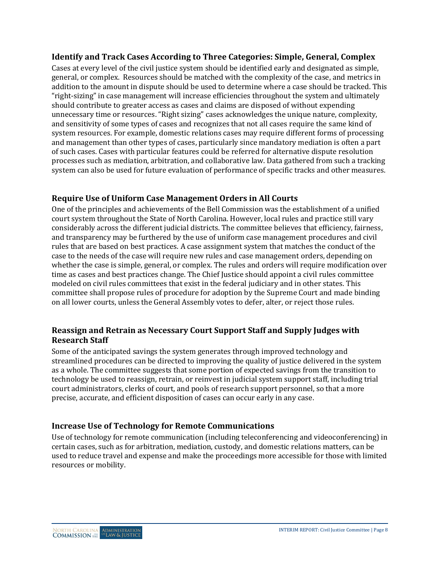### **Identify and Track Cases According to Three Categories: Simple, General, Complex**

Cases at every level of the civil justice system should be identified early and designated as simple, general, or complex. Resources should be matched with the complexity of the case, and metrics in addition to the amount in dispute should be used to determine where a case should be tracked. This "right-sizing" in case management will increase efficiencies throughout the system and ultimately should contribute to greater access as cases and claims are disposed of without expending unnecessary time or resources. "Right sizing" cases acknowledges the unique nature, complexity, and sensitivity of some types of cases and recognizes that not all cases require the same kind of system resources. For example, domestic relations cases may require different forms of processing and management than other types of cases, particularly since mandatory mediation is often a part of such cases. Cases with particular features could be referred for alternative dispute resolution processes such as mediation, arbitration, and collaborative law. Data gathered from such a tracking system can also be used for future evaluation of performance of specific tracks and other measures.

### **Require Use of Uniform Case Management Orders in All Courts**

One of the principles and achievements of the Bell Commission was the establishment of a unified court system throughout the State of North Carolina. However, local rules and practice still vary considerably across the different judicial districts. The committee believes that efficiency, fairness, and transparency may be furthered by the use of uniform case management procedures and civil rules that are based on best practices. A case assignment system that matches the conduct of the case to the needs of the case will require new rules and case management orders, depending on whether the case is simple, general, or complex. The rules and orders will require modification over time as cases and best practices change. The Chief Justice should appoint a civil rules committee modeled on civil rules committees that exist in the federal judiciary and in other states. This committee shall propose rules of procedure for adoption by the Supreme Court and made binding on all lower courts, unless the General Assembly votes to defer, alter, or reject those rules.

### **Reassign and Retrain as Necessary Court Support Staff and Supply Judges with Research Staff**

Some of the anticipated savings the system generates through improved technology and streamlined procedures can be directed to improving the quality of justice delivered in the system as a whole. The committee suggests that some portion of expected savings from the transition to technology be used to reassign, retrain, or reinvest in judicial system support staff, including trial court administrators, clerks of court, and pools of research support personnel, so that a more precise, accurate, and efficient disposition of cases can occur early in any case.

### **Increase Use of Technology for Remote Communications**

Use of technology for remote communication (including teleconferencing and videoconferencing) in certain cases, such as for arbitration, mediation, custody, and domestic relations matters, can be used to reduce travel and expense and make the proceedings more accessible for those with limited resources or mobility.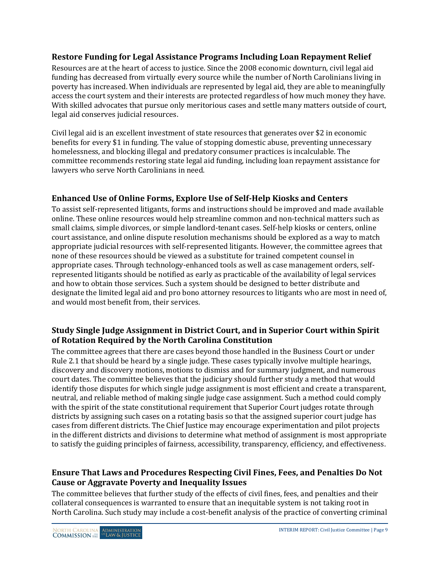### **Restore Funding for Legal Assistance Programs Including Loan Repayment Relief**

Resources are at the heart of access to justice. Since the 2008 economic downturn, civil legal aid funding has decreased from virtually every source while the number of North Carolinians living in poverty has increased. When individuals are represented by legal aid, they are able to meaningfully access the court system and their interests are protected regardless of how much money they have. With skilled advocates that pursue only meritorious cases and settle many matters outside of court, legal aid conserves judicial resources.

Civil legal aid is an excellent investment of state resources that generates over \$2 in economic benefits for every \$1 in funding. The value of stopping domestic abuse, preventing unnecessary homelessness, and blocking illegal and predatory consumer practices is incalculable. The committee recommends restoring state legal aid funding, including loan repayment assistance for lawyers who serve North Carolinians in need.

### **Enhanced Use of Online Forms, Explore Use of Self-Help Kiosks and Centers**

To assist self-represented litigants, forms and instructions should be improved and made available online. These online resources would help streamline common and non-technical matters such as small claims, simple divorces, or simple landlord-tenant cases. Self-help kiosks or centers, online court assistance, and online dispute resolution mechanisms should be explored as a way to match appropriate judicial resources with self-represented litigants. However, the committee agrees that none of these resources should be viewed as a substitute for trained competent counsel in appropriate cases. Through technology-enhanced tools as well as case management orders, selfrepresented litigants should be notified as early as practicable of the availability of legal services and how to obtain those services. Such a system should be designed to better distribute and designate the limited legal aid and pro bono attorney resources to litigants who are most in need of, and would most benefit from, their services.

### **Study Single Judge Assignment in District Court, and in Superior Court within Spirit of Rotation Required by the North Carolina Constitution**

The committee agrees that there are cases beyond those handled in the Business Court or under Rule 2.1 that should be heard by a single judge. These cases typically involve multiple hearings, discovery and discovery motions, motions to dismiss and for summary judgment, and numerous court dates. The committee believes that the judiciary should further study a method that would identify those disputes for which single judge assignment is most efficient and create a transparent, neutral, and reliable method of making single judge case assignment. Such a method could comply with the spirit of the state constitutional requirement that Superior Court judges rotate through districts by assigning such cases on a rotating basis so that the assigned superior court judge has cases from different districts. The Chief Justice may encourage experimentation and pilot projects in the different districts and divisions to determine what method of assignment is most appropriate to satisfy the guiding principles of fairness, accessibility, transparency, efficiency, and effectiveness.

### **Ensure That Laws and Procedures Respecting Civil Fines, Fees, and Penalties Do Not Cause or Aggravate Poverty and Inequality Issues**

The committee believes that further study of the effects of civil fines, fees, and penalties and their collateral consequences is warranted to ensure that an inequitable system is not taking root in North Carolina. Such study may include a cost-benefit analysis of the practice of converting criminal